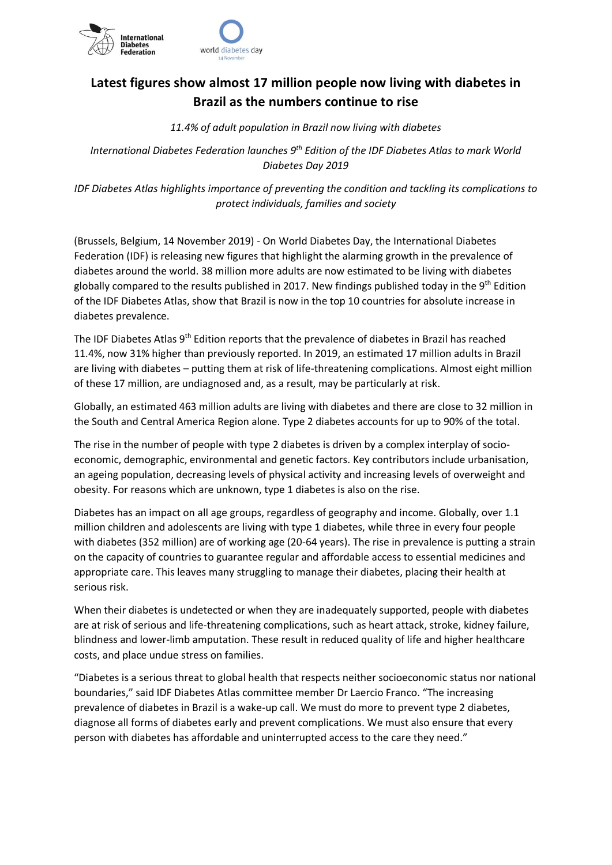

## **Latest figures show almost 17 million people now living with diabetes in Brazil as the numbers continue to rise**

*11.4% of adult population in Brazil now living with diabetes*

*International Diabetes Federation launches 9th Edition of the IDF Diabetes Atlas to mark World Diabetes Day 2019*

*IDF Diabetes Atlas highlights importance of preventing the condition and tackling its complications to protect individuals, families and society*

(Brussels, Belgium, 14 November 2019) - On World Diabetes Day, the International Diabetes Federation (IDF) is releasing new figures that highlight the alarming growth in the prevalence of diabetes around the world. 38 million more adults are now estimated to be living with diabetes globally compared to the results published in 2017. New findings published today in the 9<sup>th</sup> Edition of the IDF Diabetes Atlas, show that Brazil is now in the top 10 countries for absolute increase in diabetes prevalence.

The IDF Diabetes Atlas 9<sup>th</sup> Edition reports that the prevalence of diabetes in Brazil has reached 11.4%, now 31% higher than previously reported. In 2019, an estimated 17 million adults in Brazil are living with diabetes – putting them at risk of life-threatening complications. Almost eight million of these 17 million, are undiagnosed and, as a result, may be particularly at risk.

Globally, an estimated 463 million adults are living with diabetes and there are close to 32 million in the South and Central America Region alone. Type 2 diabetes accounts for up to 90% of the total.

The rise in the number of people with type 2 diabetes is driven by a complex interplay of socioeconomic, demographic, environmental and genetic factors. Key contributors include urbanisation, an ageing population, decreasing levels of physical activity and increasing levels of overweight and obesity. For reasons which are unknown, type 1 diabetes is also on the rise.

Diabetes has an impact on all age groups, regardless of geography and income. Globally, over 1.1 million children and adolescents are living with type 1 diabetes, while three in every four people with diabetes (352 million) are of working age (20-64 years). The rise in prevalence is putting a strain on the capacity of countries to guarantee regular and affordable access to essential medicines and appropriate care. This leaves many struggling to manage their diabetes, placing their health at serious risk.

When their diabetes is undetected or when they are inadequately supported, people with diabetes are at risk of serious and life-threatening complications, such as heart attack, stroke, kidney failure, blindness and lower-limb amputation. These result in reduced quality of life and higher healthcare costs, and place undue stress on families.

"Diabetes is a serious threat to global health that respects neither socioeconomic status nor national boundaries," said IDF Diabetes Atlas committee member Dr Laercio Franco. "The increasing prevalence of diabetes in Brazil is a wake-up call. We must do more to prevent type 2 diabetes, diagnose all forms of diabetes early and prevent complications. We must also ensure that every person with diabetes has affordable and uninterrupted access to the care they need."